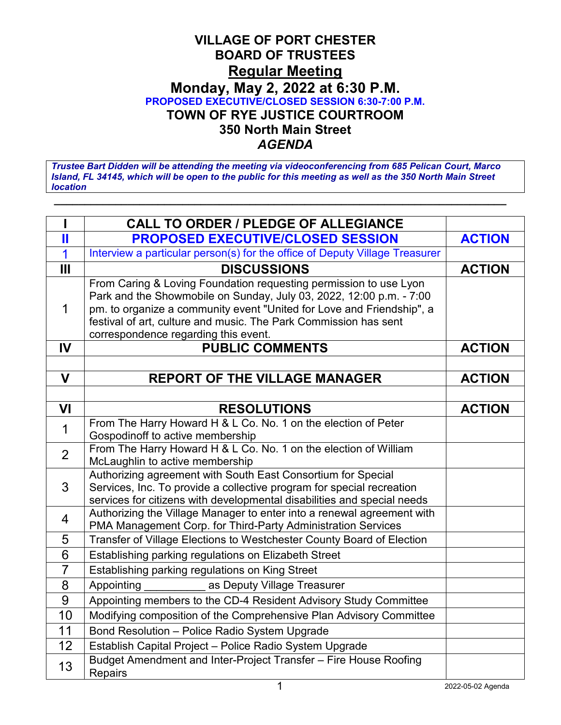## **VILLAGE OF PORT CHESTER BOARD OF TRUSTEES Regular Meeting Monday, May 2, 2022 at 6:30 P.M. PROPOSED EXECUTIVE/CLOSED SESSION 6:30-7:00 P.M. TOWN OF RYE JUSTICE COURTROOM 350 North Main Street** *AGENDA*

*Trustee Bart Didden will be attending the meeting via videoconferencing from 685 Pelican Court, Marco Island, FL 34145, which will be open to the public for this meeting as well as the 350 North Main Street location*

**\_\_\_\_\_\_\_\_\_\_\_\_\_\_\_\_\_\_\_\_\_\_\_\_\_\_\_\_\_\_\_\_\_\_\_\_\_\_\_\_\_\_\_\_\_\_\_\_\_\_\_\_\_\_\_\_\_\_\_\_\_\_\_\_\_\_\_\_\_\_\_\_\_\_**

|                         | <b>CALL TO ORDER / PLEDGE OF ALLEGIANCE</b>                                                                                                                                                                                                                                                                                   |               |
|-------------------------|-------------------------------------------------------------------------------------------------------------------------------------------------------------------------------------------------------------------------------------------------------------------------------------------------------------------------------|---------------|
| П                       | <b>PROPOSED EXECUTIVE/CLOSED SESSION</b>                                                                                                                                                                                                                                                                                      | <b>ACTION</b> |
| $\overline{\mathbf{1}}$ | Interview a particular person(s) for the office of Deputy Village Treasurer                                                                                                                                                                                                                                                   |               |
| $\mathbf{III}$          | <b>DISCUSSIONS</b>                                                                                                                                                                                                                                                                                                            | <b>ACTION</b> |
| 1                       | From Caring & Loving Foundation requesting permission to use Lyon<br>Park and the Showmobile on Sunday, July 03, 2022, 12:00 p.m. - 7:00<br>pm. to organize a community event "United for Love and Friendship", a<br>festival of art, culture and music. The Park Commission has sent<br>correspondence regarding this event. |               |
| IV                      | <b>PUBLIC COMMENTS</b>                                                                                                                                                                                                                                                                                                        | <b>ACTION</b> |
|                         |                                                                                                                                                                                                                                                                                                                               |               |
| $\mathbf V$             | <b>REPORT OF THE VILLAGE MANAGER</b>                                                                                                                                                                                                                                                                                          | <b>ACTION</b> |
|                         |                                                                                                                                                                                                                                                                                                                               |               |
| VI                      | <b>RESOLUTIONS</b>                                                                                                                                                                                                                                                                                                            | <b>ACTION</b> |
| $\mathbf 1$             | From The Harry Howard H & L Co. No. 1 on the election of Peter<br>Gospodinoff to active membership                                                                                                                                                                                                                            |               |
| $\overline{2}$          | From The Harry Howard H & L Co. No. 1 on the election of William<br>McLaughlin to active membership                                                                                                                                                                                                                           |               |
| 3                       | Authorizing agreement with South East Consortium for Special<br>Services, Inc. To provide a collective program for special recreation<br>services for citizens with developmental disabilities and special needs                                                                                                              |               |
| $\overline{4}$          | Authorizing the Village Manager to enter into a renewal agreement with<br>PMA Management Corp. for Third-Party Administration Services                                                                                                                                                                                        |               |
| 5                       | Transfer of Village Elections to Westchester County Board of Election                                                                                                                                                                                                                                                         |               |
| 6                       | Establishing parking regulations on Elizabeth Street                                                                                                                                                                                                                                                                          |               |
| $\overline{7}$          | Establishing parking regulations on King Street                                                                                                                                                                                                                                                                               |               |
| 8                       | Appointing<br>as Deputy Village Treasurer                                                                                                                                                                                                                                                                                     |               |
| 9                       | Appointing members to the CD-4 Resident Advisory Study Committee                                                                                                                                                                                                                                                              |               |
| 10                      | Modifying composition of the Comprehensive Plan Advisory Committee                                                                                                                                                                                                                                                            |               |
| 11                      | Bond Resolution - Police Radio System Upgrade                                                                                                                                                                                                                                                                                 |               |
| 12                      | Establish Capital Project - Police Radio System Upgrade                                                                                                                                                                                                                                                                       |               |
| 13                      | Budget Amendment and Inter-Project Transfer - Fire House Roofing<br>Repairs                                                                                                                                                                                                                                                   |               |